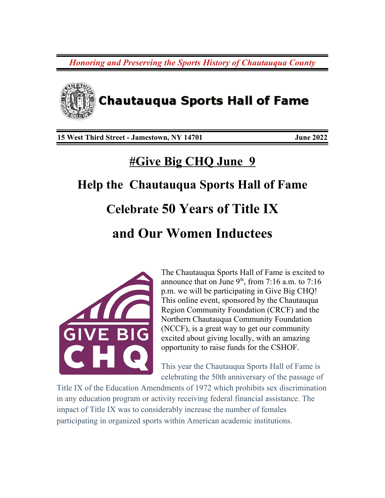*Honoring and Preserving the Sports History of Chautauqua County*



**15 West Third Street - Jamestown, NY 14701 June 2022**

## **#Give Big CHQ June 9**

# **Help the Chautauqua Sports Hall of Fame Celebrate 50 Years of Title IX and Our Women Inductees**



The Chautauqua Sports Hall of Fame is excited to announce that on June  $9<sup>th</sup>$ , from 7:16 a.m. to 7:16 p.m. we will be participating in Give Big CHQ! This online event, sponsored by the Chautauqua Region Community Foundation (CRCF) and the Northern Chautauqua Community Foundation (NCCF), is a great way to get our community excited about giving locally, with an amazing opportunity to raise funds for the CSHOF.

This year the Chautauqua Sports Hall of Fame is celebrating the 50th anniversary of the passage of

Title IX of the Education Amendments of 1972 which prohibits sex discrimination in any education program or activity receiving federal financial assistance. The impact of Title IX was to considerably increase the number of females participating in organized sports within American academic institutions.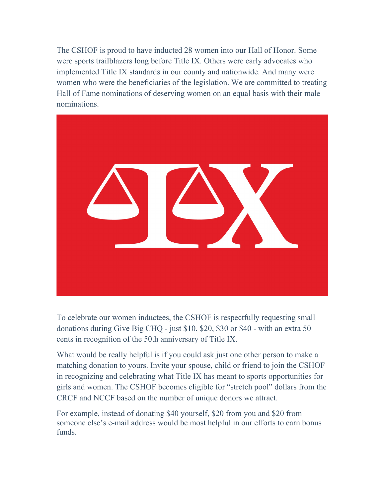The CSHOF is proud to have inducted 28 women into our Hall of Honor. Some were sports trailblazers long before Title IX. Others were early advocates who implemented Title IX standards in our county and nationwide. And many were women who were the beneficiaries of the legislation. We are committed to treating Hall of Fame nominations of deserving women on an equal basis with their male nominations.



To celebrate our women inductees, the CSHOF is respectfully requesting small donations during Give Big CHQ - just \$10, \$20, \$30 or \$40 - with an extra 50 cents in recognition of the 50th anniversary of Title IX.

What would be really helpful is if you could ask just one other person to make a matching donation to yours. Invite your spouse, child or friend to join the CSHOF in recognizing and celebrating what Title IX has meant to sports opportunities for girls and women. The CSHOF becomes eligible for "stretch pool" dollars from the CRCF and NCCF based on the number of unique donors we attract.

For example, instead of donating \$40 yourself, \$20 from you and \$20 from someone else's e-mail address would be most helpful in our efforts to earn bonus funds.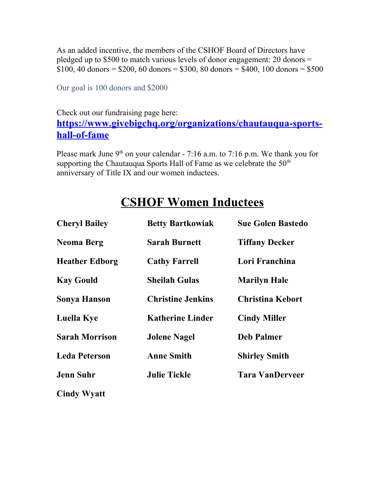As an added incentive, the members of the CSHOF Board of Directors have pledged up to \$500 to match various levels of donor engagement: 20 donors =  $$100, 40$  donors = \$200, 60 donors = \$300, 80 donors = \$400, 100 donors = \$500

Our goal is 100 donors and \$2000

#### Check out our fundraising page here: **[https://www.givebigchq.org/organizations/chautauqua-sports](https://www.givebigchq.org/organizations/chautauqua-sports-hall-of-fame)[hall-of-fame](https://www.givebigchq.org/organizations/chautauqua-sports-hall-of-fame)**

Please mark June  $9<sup>th</sup>$  on your calendar - 7:16 a.m. to 7:16 p.m. We thank you for supporting the Chautauqua Sports Hall of Fame as we celebrate the  $50<sup>th</sup>$ anniversary of Title IX and our women inductees.

### **CSHOF Women Inductees**

| <b>Cheryl Bailey</b>  | <b>Betty Bartkowiak</b>  | <b>Sue Golen Bastedo</b> |
|-----------------------|--------------------------|--------------------------|
| <b>Neoma Berg</b>     | <b>Sarah Burnett</b>     | <b>Tiffany Decker</b>    |
| <b>Heather Edborg</b> | <b>Cathy Farrell</b>     | Lori Franchina           |
| <b>Kay Gould</b>      | <b>Sheilah Gulas</b>     | <b>Marilyn Hale</b>      |
| <b>Sonya Hanson</b>   | <b>Christine Jenkins</b> | <b>Christina Kebort</b>  |
| <b>Luella Kye</b>     | <b>Katherine Linder</b>  | <b>Cindy Miller</b>      |
| <b>Sarah Morrison</b> | <b>Jolene Nagel</b>      | <b>Deb Palmer</b>        |
| <b>Leda Peterson</b>  | <b>Anne Smith</b>        | <b>Shirley Smith</b>     |
| <b>Jenn Suhr</b>      | <b>Julie Tickle</b>      | <b>Tara VanDerveer</b>   |
| <b>Cindy Wyatt</b>    |                          |                          |